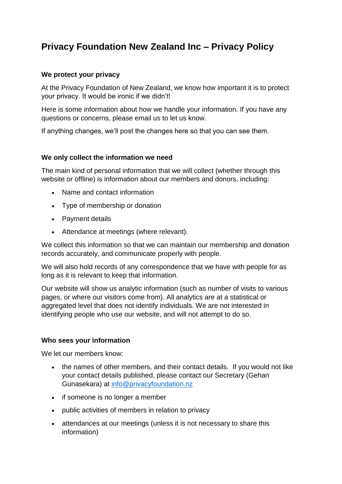# **Privacy Foundation New Zealand Inc – Privacy Policy**

## **We protect your privacy**

At the Privacy Foundation of New Zealand, we know how important it is to protect your privacy. It would be ironic if we didn't!

Here is some information about how we handle your information. If you have any questions or concerns, please email us to let us know.

If anything changes, we'll post the changes here so that you can see them.

## **We only collect the information we need**

The main kind of personal information that we will collect (whether through this website or offline) is information about our members and donors, including:

- Name and contact information
- Type of membership or donation
- Payment details
- Attendance at meetings (where relevant).

We collect this information so that we can maintain our membership and donation records accurately, and communicate properly with people.

We will also hold records of any correspondence that we have with people for as long as it is relevant to keep that information.

Our website will show us analytic information (such as number of visits to various pages, or where our visitors come from). All analytics are at a statistical or aggregated level that does not identify individuals. We are not interested in identifying people who use our website, and will not attempt to do so.

## **Who sees your information**

We let our members know:

- the names of other members, and their contact details. If you would not like your contact details published, please contact our Secretary (Gehan Gunasekara) at [info@privacyfoundation.nz](mailto:info@privacyfoundation.nz)
- if someone is no longer a member
- public activities of members in relation to privacy
- attendances at our meetings (unless it is not necessary to share this information)